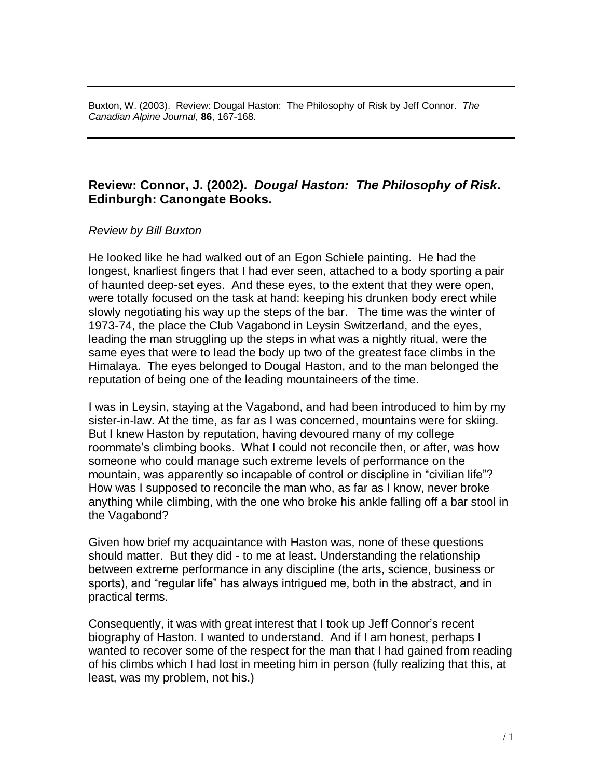Buxton, W. (2003). Review: Dougal Haston: The Philosophy of Risk by Jeff Connor. *The Canadian Alpine Journal*, **86**, 167-168.

## **Review: Connor, J. (2002).** *Dougal Haston: The Philosophy of Risk***. Edinburgh: Canongate Books.**

## *Review by Bill Buxton*

He looked like he had walked out of an Egon Schiele painting. He had the longest, knarliest fingers that I had ever seen, attached to a body sporting a pair of haunted deep-set eyes. And these eyes, to the extent that they were open, were totally focused on the task at hand: keeping his drunken body erect while slowly negotiating his way up the steps of the bar. The time was the winter of 1973-74, the place the Club Vagabond in Leysin Switzerland, and the eyes, leading the man struggling up the steps in what was a nightly ritual, were the same eyes that were to lead the body up two of the greatest face climbs in the Himalaya. The eyes belonged to Dougal Haston, and to the man belonged the reputation of being one of the leading mountaineers of the time.

I was in Leysin, staying at the Vagabond, and had been introduced to him by my sister-in-law. At the time, as far as I was concerned, mountains were for skiing. But I knew Haston by reputation, having devoured many of my college roommate's climbing books. What I could not reconcile then, or after, was how someone who could manage such extreme levels of performance on the mountain, was apparently so incapable of control or discipline in "civilian life"? How was I supposed to reconcile the man who, as far as I know, never broke anything while climbing, with the one who broke his ankle falling off a bar stool in the Vagabond?

Given how brief my acquaintance with Haston was, none of these questions should matter. But they did - to me at least. Understanding the relationship between extreme performance in any discipline (the arts, science, business or sports), and "regular life" has always intrigued me, both in the abstract, and in practical terms.

Consequently, it was with great interest that I took up Jeff Connor's recent biography of Haston. I wanted to understand. And if I am honest, perhaps I wanted to recover some of the respect for the man that I had gained from reading of his climbs which I had lost in meeting him in person (fully realizing that this, at least, was my problem, not his.)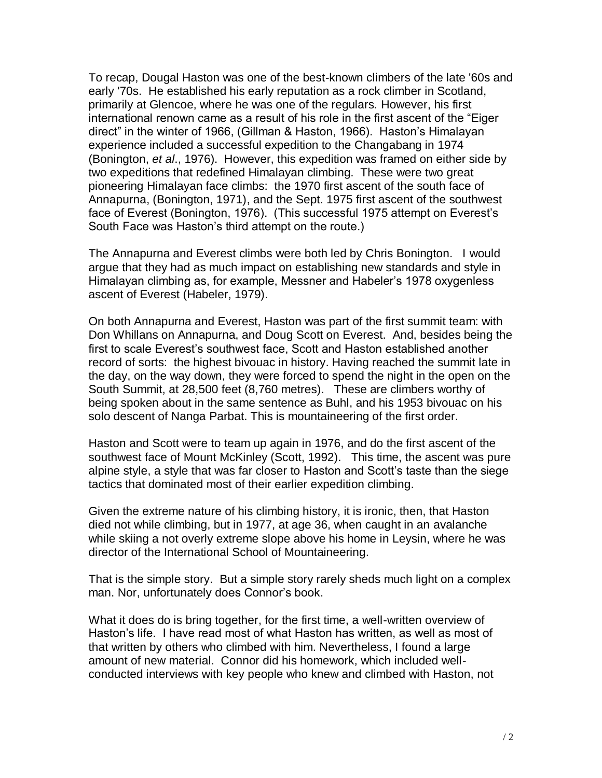To recap, Dougal Haston was one of the best-known climbers of the late '60s and early '70s. He established his early reputation as a rock climber in Scotland, primarily at Glencoe, where he was one of the regulars. However, his first international renown came as a result of his role in the first ascent of the "Eiger direct" in the winter of 1966, (Gillman & Haston, 1966). Haston's Himalayan experience included a successful expedition to the Changabang in 1974 (Bonington, *et al*., 1976). However, this expedition was framed on either side by two expeditions that redefined Himalayan climbing. These were two great pioneering Himalayan face climbs: the 1970 first ascent of the south face of Annapurna, (Bonington, 1971), and the Sept. 1975 first ascent of the southwest face of Everest (Bonington, 1976). (This successful 1975 attempt on Everest's South Face was Haston's third attempt on the route.)

The Annapurna and Everest climbs were both led by Chris Bonington. I would argue that they had as much impact on establishing new standards and style in Himalayan climbing as, for example, Messner and Habeler's 1978 oxygenless ascent of Everest (Habeler, 1979).

On both Annapurna and Everest, Haston was part of the first summit team: with Don Whillans on Annapurna, and Doug Scott on Everest. And, besides being the first to scale Everest's southwest face, Scott and Haston established another record of sorts: the highest bivouac in history. Having reached the summit late in the day, on the way down, they were forced to spend the night in the open on the South Summit, at 28,500 feet (8,760 metres). These are climbers worthy of being spoken about in the same sentence as Buhl, and his 1953 bivouac on his solo descent of Nanga Parbat. This is mountaineering of the first order.

Haston and Scott were to team up again in 1976, and do the first ascent of the southwest face of Mount McKinley (Scott, 1992). This time, the ascent was pure alpine style, a style that was far closer to Haston and Scott's taste than the siege tactics that dominated most of their earlier expedition climbing.

Given the extreme nature of his climbing history, it is ironic, then, that Haston died not while climbing, but in 1977, at age 36, when caught in an avalanche while skiing a not overly extreme slope above his home in Leysin, where he was director of the International School of Mountaineering.

That is the simple story. But a simple story rarely sheds much light on a complex man. Nor, unfortunately does Connor's book.

What it does do is bring together, for the first time, a well-written overview of Haston's life. I have read most of what Haston has written, as well as most of that written by others who climbed with him. Nevertheless, I found a large amount of new material. Connor did his homework, which included wellconducted interviews with key people who knew and climbed with Haston, not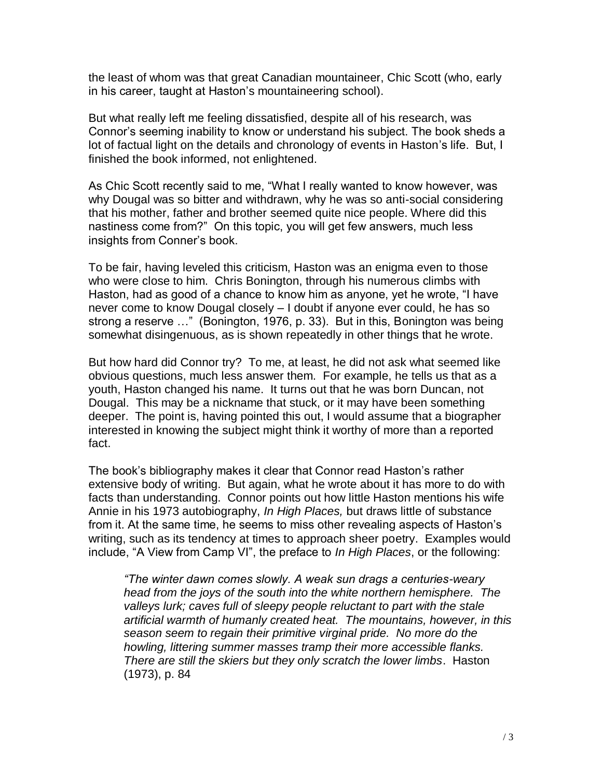the least of whom was that great Canadian mountaineer, Chic Scott (who, early in his career, taught at Haston's mountaineering school).

But what really left me feeling dissatisfied, despite all of his research, was Connor's seeming inability to know or understand his subject. The book sheds a lot of factual light on the details and chronology of events in Haston's life. But, I finished the book informed, not enlightened.

As Chic Scott recently said to me, "What I really wanted to know however, was why Dougal was so bitter and withdrawn, why he was so anti-social considering that his mother, father and brother seemed quite nice people. Where did this nastiness come from?" On this topic, you will get few answers, much less insights from Conner's book.

To be fair, having leveled this criticism, Haston was an enigma even to those who were close to him. Chris Bonington, through his numerous climbs with Haston, had as good of a chance to know him as anyone, yet he wrote, "I have never come to know Dougal closely – I doubt if anyone ever could, he has so strong a reserve …" (Bonington, 1976, p. 33). But in this, Bonington was being somewhat disingenuous, as is shown repeatedly in other things that he wrote.

But how hard did Connor try? To me, at least, he did not ask what seemed like obvious questions, much less answer them. For example, he tells us that as a youth, Haston changed his name. It turns out that he was born Duncan, not Dougal. This may be a nickname that stuck, or it may have been something deeper. The point is, having pointed this out, I would assume that a biographer interested in knowing the subject might think it worthy of more than a reported fact.

The book's bibliography makes it clear that Connor read Haston's rather extensive body of writing. But again, what he wrote about it has more to do with facts than understanding. Connor points out how little Haston mentions his wife Annie in his 1973 autobiography, *In High Places,* but draws little of substance from it. At the same time, he seems to miss other revealing aspects of Haston's writing, such as its tendency at times to approach sheer poetry. Examples would include, "A View from Camp VI", the preface to *In High Places*, or the following:

*"The winter dawn comes slowly. A weak sun drags a centuries-weary head from the joys of the south into the white northern hemisphere. The valleys lurk; caves full of sleepy people reluctant to part with the stale artificial warmth of humanly created heat. The mountains, however, in this season seem to regain their primitive virginal pride. No more do the howling, littering summer masses tramp their more accessible flanks. There are still the skiers but they only scratch the lower limbs*. Haston (1973), p. 84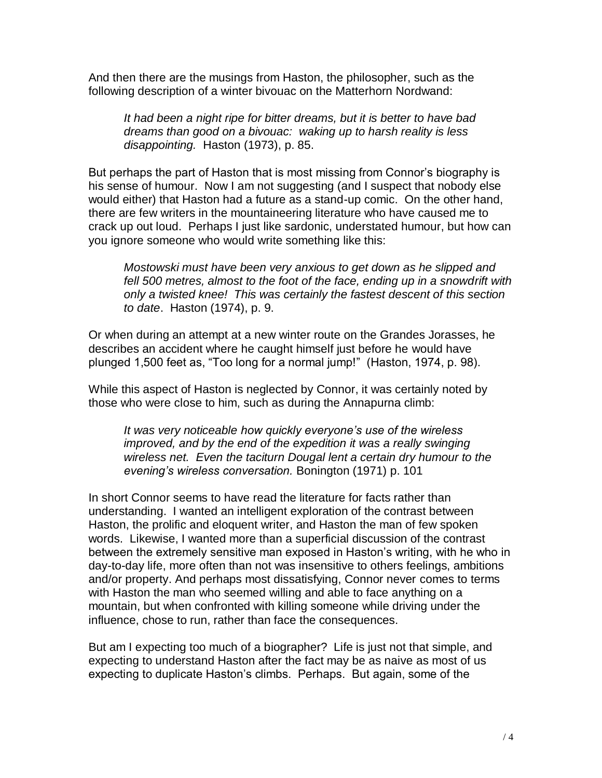And then there are the musings from Haston, the philosopher, such as the following description of a winter bivouac on the Matterhorn Nordwand:

*It had been a night ripe for bitter dreams, but it is better to have bad dreams than good on a bivouac: waking up to harsh reality is less disappointing.* Haston (1973), p. 85.

But perhaps the part of Haston that is most missing from Connor's biography is his sense of humour. Now I am not suggesting (and I suspect that nobody else would either) that Haston had a future as a stand-up comic. On the other hand, there are few writers in the mountaineering literature who have caused me to crack up out loud. Perhaps I just like sardonic, understated humour, but how can you ignore someone who would write something like this:

*Mostowski must have been very anxious to get down as he slipped and fell 500 metres, almost to the foot of the face, ending up in a snowdrift with only a twisted knee! This was certainly the fastest descent of this section to date*. Haston (1974), p. 9.

Or when during an attempt at a new winter route on the Grandes Jorasses, he describes an accident where he caught himself just before he would have plunged 1,500 feet as, "Too long for a normal jump!" (Haston, 1974, p. 98).

While this aspect of Haston is neglected by Connor, it was certainly noted by those who were close to him, such as during the Annapurna climb:

*It was very noticeable how quickly everyone's use of the wireless improved, and by the end of the expedition it was a really swinging wireless net. Even the taciturn Dougal lent a certain dry humour to the evening's wireless conversation.* Bonington (1971) p. 101

In short Connor seems to have read the literature for facts rather than understanding. I wanted an intelligent exploration of the contrast between Haston, the prolific and eloquent writer, and Haston the man of few spoken words. Likewise, I wanted more than a superficial discussion of the contrast between the extremely sensitive man exposed in Haston's writing, with he who in day-to-day life, more often than not was insensitive to others feelings, ambitions and/or property. And perhaps most dissatisfying, Connor never comes to terms with Haston the man who seemed willing and able to face anything on a mountain, but when confronted with killing someone while driving under the influence, chose to run, rather than face the consequences.

But am I expecting too much of a biographer? Life is just not that simple, and expecting to understand Haston after the fact may be as naive as most of us expecting to duplicate Haston's climbs. Perhaps. But again, some of the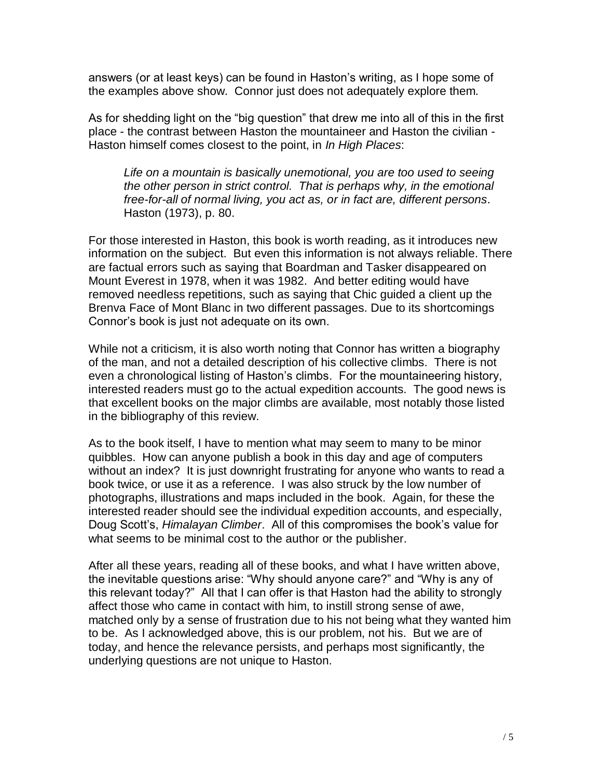answers (or at least keys) can be found in Haston's writing, as I hope some of the examples above show. Connor just does not adequately explore them.

As for shedding light on the "big question" that drew me into all of this in the first place - the contrast between Haston the mountaineer and Haston the civilian - Haston himself comes closest to the point, in *In High Places*:

*Life on a mountain is basically unemotional, you are too used to seeing the other person in strict control. That is perhaps why, in the emotional free-for-all of normal living, you act as, or in fact are, different persons*. Haston (1973), p. 80.

For those interested in Haston, this book is worth reading, as it introduces new information on the subject. But even this information is not always reliable. There are factual errors such as saying that Boardman and Tasker disappeared on Mount Everest in 1978, when it was 1982. And better editing would have removed needless repetitions, such as saying that Chic guided a client up the Brenva Face of Mont Blanc in two different passages. Due to its shortcomings Connor's book is just not adequate on its own.

While not a criticism, it is also worth noting that Connor has written a biography of the man, and not a detailed description of his collective climbs. There is not even a chronological listing of Haston's climbs. For the mountaineering history, interested readers must go to the actual expedition accounts. The good news is that excellent books on the major climbs are available, most notably those listed in the bibliography of this review.

As to the book itself, I have to mention what may seem to many to be minor quibbles. How can anyone publish a book in this day and age of computers without an index? It is just downright frustrating for anyone who wants to read a book twice, or use it as a reference. I was also struck by the low number of photographs, illustrations and maps included in the book. Again, for these the interested reader should see the individual expedition accounts, and especially, Doug Scott's, *Himalayan Climber*. All of this compromises the book's value for what seems to be minimal cost to the author or the publisher.

After all these years, reading all of these books, and what I have written above, the inevitable questions arise: "Why should anyone care?" and "Why is any of this relevant today?" All that I can offer is that Haston had the ability to strongly affect those who came in contact with him, to instill strong sense of awe, matched only by a sense of frustration due to his not being what they wanted him to be. As I acknowledged above, this is our problem, not his. But we are of today, and hence the relevance persists, and perhaps most significantly, the underlying questions are not unique to Haston.